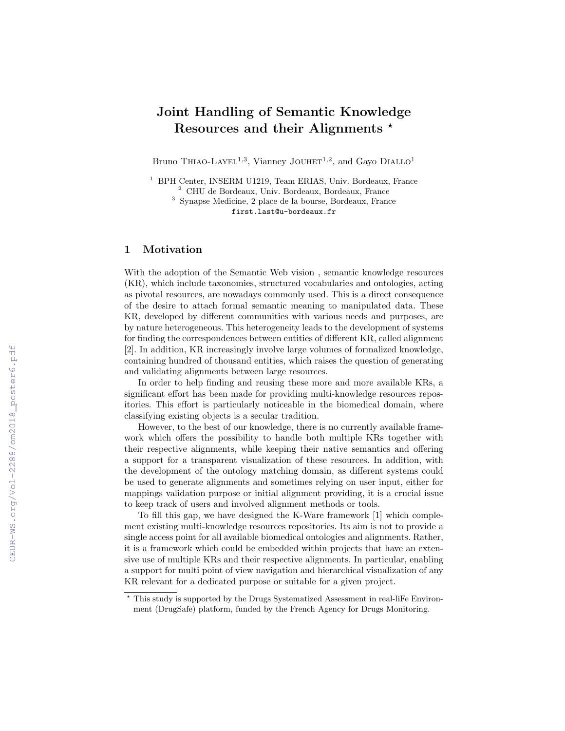# Joint Handling of Semantic Knowledge Resources and their Alignments  $\star$

Bruno THIAO-LAYEL<sup>1,3</sup>, Vianney JOUHET<sup>1,2</sup>, and Gayo DIALLO<sup>1</sup>

<sup>1</sup> BPH Center, INSERM U1219, Team ERIAS, Univ. Bordeaux, France <sup>2</sup> CHU de Bordeaux, Univ. Bordeaux, Bordeaux, France

<sup>3</sup> Synapse Medicine, 2 place de la bourse, Bordeaux, France first.last@u-bordeaux.fr

#### 1 Motivation

With the adoption of the Semantic Web vision , semantic knowledge resources (KR), which include taxonomies, structured vocabularies and ontologies, acting as pivotal resources, are nowadays commonly used. This is a direct consequence of the desire to attach formal semantic meaning to manipulated data. These KR, developed by different communities with various needs and purposes, are by nature heterogeneous. This heterogeneity leads to the development of systems for finding the correspondences between entities of different KR, called alignment [2]. In addition, KR increasingly involve large volumes of formalized knowledge, containing hundred of thousand entities, which raises the question of generating and validating alignments between large resources.

In order to help finding and reusing these more and more available KRs, a significant effort has been made for providing multi-knowledge resources repositories. This effort is particularly noticeable in the biomedical domain, where classifying existing objects is a secular tradition.

However, to the best of our knowledge, there is no currently available framework which offers the possibility to handle both multiple KRs together with their respective alignments, while keeping their native semantics and offering a support for a transparent visualization of these resources. In addition, with the development of the ontology matching domain, as different systems could be used to generate alignments and sometimes relying on user input, either for mappings validation purpose or initial alignment providing, it is a crucial issue to keep track of users and involved alignment methods or tools.

To fill this gap, we have designed the K-Ware framework [1] which complement existing multi-knowledge resources repositories. Its aim is not to provide a single access point for all available biomedical ontologies and alignments. Rather, it is a framework which could be embedded within projects that have an extensive use of multiple KRs and their respective alignments. In particular, enabling a support for multi point of view navigation and hierarchical visualization of any KR relevant for a dedicated purpose or suitable for a given project.

<sup>?</sup> This study is supported by the Drugs Systematized Assessment in real-liFe Environment (DrugSafe) platform, funded by the French Agency for Drugs Monitoring.